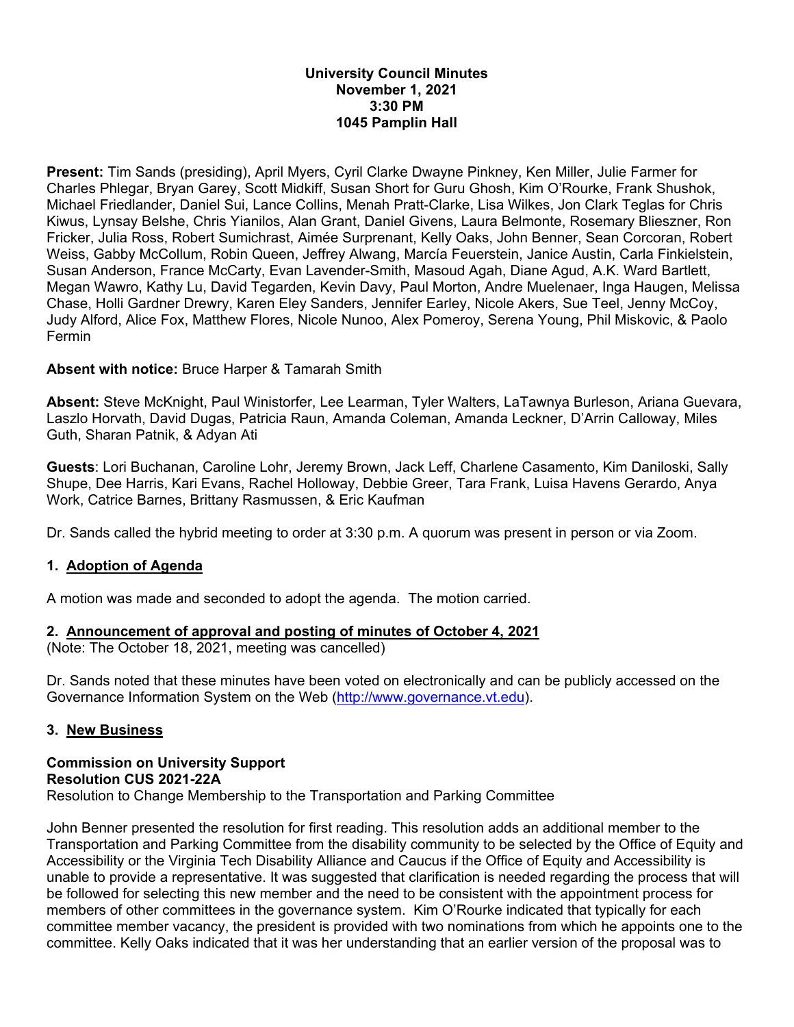#### **University Council Minutes November 1, 2021 3:30 PM 1045 Pamplin Hall**

**Present:** Tim Sands (presiding), April Myers, Cyril Clarke Dwayne Pinkney, Ken Miller, Julie Farmer for Charles Phlegar, Bryan Garey, Scott Midkiff, Susan Short for Guru Ghosh, Kim O'Rourke, Frank Shushok, Michael Friedlander, Daniel Sui, Lance Collins, Menah Pratt-Clarke, Lisa Wilkes, Jon Clark Teglas for Chris Kiwus, Lynsay Belshe, Chris Yianilos, Alan Grant, Daniel Givens, Laura Belmonte, Rosemary Blieszner, Ron Fricker, Julia Ross, Robert Sumichrast, Aimée Surprenant, Kelly Oaks, John Benner, Sean Corcoran, Robert Weiss, Gabby McCollum, Robin Queen, Jeffrey Alwang, Marcía Feuerstein, Janice Austin, Carla Finkielstein, Susan Anderson, France McCarty, Evan Lavender-Smith, Masoud Agah, Diane Agud, A.K. Ward Bartlett, Megan Wawro, Kathy Lu, David Tegarden, Kevin Davy, Paul Morton, Andre Muelenaer, Inga Haugen, Melissa Chase, Holli Gardner Drewry, Karen Eley Sanders, Jennifer Earley, Nicole Akers, Sue Teel, Jenny McCoy, Judy Alford, Alice Fox, Matthew Flores, Nicole Nunoo, Alex Pomeroy, Serena Young, Phil Miskovic, & Paolo Fermin

### **Absent with notice:** Bruce Harper & Tamarah Smith

**Absent:** Steve McKnight, Paul Winistorfer, Lee Learman, Tyler Walters, LaTawnya Burleson, Ariana Guevara, Laszlo Horvath, David Dugas, Patricia Raun, Amanda Coleman, Amanda Leckner, D'Arrin Calloway, Miles Guth, Sharan Patnik, & Adyan Ati

**Guests**: Lori Buchanan, Caroline Lohr, Jeremy Brown, Jack Leff, Charlene Casamento, Kim Daniloski, Sally Shupe, Dee Harris, Kari Evans, Rachel Holloway, Debbie Greer, Tara Frank, Luisa Havens Gerardo, Anya Work, Catrice Barnes, Brittany Rasmussen, & Eric Kaufman

Dr. Sands called the hybrid meeting to order at 3:30 p.m. A quorum was present in person or via Zoom.

# **1. Adoption of Agenda**

A motion was made and seconded to adopt the agenda. The motion carried.

### **2. Announcement of approval and posting of minutes of October 4, 2021**

(Note: The October 18, 2021, meeting was cancelled)

Dr. Sands noted that these minutes have been voted on electronically and can be publicly accessed on the Governance Information System on the Web (http://www.governance.vt.edu).

### **3. New Business**

#### **Commission on University Support Resolution CUS 2021-22A**  Resolution to Change Membership to the Transportation and Parking Committee

John Benner presented the resolution for first reading. This resolution adds an additional member to the Transportation and Parking Committee from the disability community to be selected by the Office of Equity and Accessibility or the Virginia Tech Disability Alliance and Caucus if the Office of Equity and Accessibility is unable to provide a representative. It was suggested that clarification is needed regarding the process that will be followed for selecting this new member and the need to be consistent with the appointment process for members of other committees in the governance system. Kim O'Rourke indicated that typically for each committee member vacancy, the president is provided with two nominations from which he appoints one to the committee. Kelly Oaks indicated that it was her understanding that an earlier version of the proposal was to